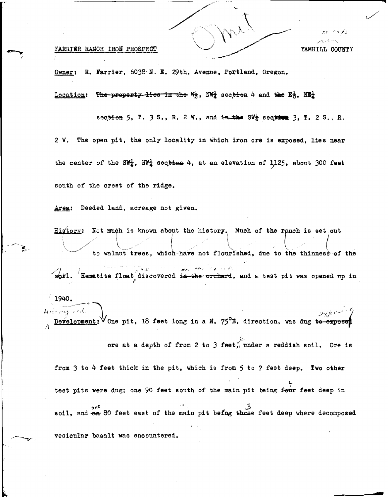## FARRIER RANCH IRON PROSPECT YAMHILL COUNTY

--

Owner: R. Farrier, 6038 N. E. 29th. Avenue, Portland, Oregon.

<u>Location</u>: The property lies in the  $W_2^1$ , NW<sub>2</sub> section 4 and the  $E_2^1$ , NE<sub>2</sub>

section 5, T. 3 S., R. 2 W., and in the SW<sup>1</sup> section 3, T. 2 S., R. 2 W. The open pit, the only locality in which iron ore is exposed, lies **near**  the center of the SW<sub>4</sub>, NW<sub>4</sub> sec<del>tion</del> 4, at an elevation of 1125, about 300 feet south of the crest of the ridge.

Area: Deeded land, acreage not given.

Higtory: Not much is known about the history. Much of the ranch is set out <sup>i</sup>(\_ i l ---~ \ { I *~.,,,/*  \ ..... \_ .. \_, ... ✓ \ ,· ,,. .•. \ \ to walnut trees, which have not flourished, due to the thinness of the on the cancel

soil. Hematite float discovered in the orchard, and a test pit was opened up in

 $1940.$  $\Delta$ *i*  $\sim$   $\sim$   $\gamma$ . History and  $\nu$ H $\nu$  C pit, 18 feet long in a N. 75°E. direction, was dug **te expose**   $\Lambda$ 

ore at a depth of from 2 to 3 feet<sub>0</sub> under a reddish soil. Ore is

from 3 to 4 feet thick in the pit, which is from 5 to 7 feet deep. Two other test pits were dug; one 90 feet south of the main pit being f<del>our</del> feet deep in o<sup>nc</sup> o<sup>nc</sup> **a**<sup>6</sup> *soil*, end  $\frac{3}{2}$  soil, end  $\frac{3}{2}$  soil, end  $\frac{3}{2}$  and  $\frac{3}{2}$  feet deep where decomposed vesicular basalt was encountered.